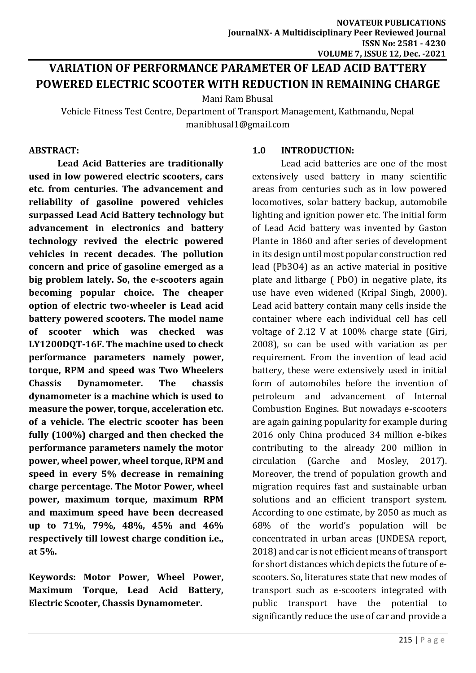# **VARIATION OF PERFORMANCE PARAMETER OF LEAD ACID BATTERY POWERED ELECTRIC SCOOTER WITH REDUCTION IN REMAINING CHARGE**

Mani Ram Bhusal

Vehicle Fitness Test Centre, Department of Transport Management, Kathmandu, Nepal manibhusal1@gmail.com

#### **ABSTRACT:**

 **Lead Acid Batteries are traditionally used in low powered electric scooters, cars etc. from centuries. The advancement and reliability of gasoline powered vehicles surpassed Lead Acid Battery technology but advancement in electronics and battery technology revived the electric powered vehicles in recent decades. The pollution concern and price of gasoline emerged as a big problem lately. So, the e-scooters again becoming popular choice. The cheaper option of electric two-wheeler is Lead acid battery powered scooters. The model name of scooter which was checked was LY1200DQT-16F. The machine used to check performance parameters namely power, torque, RPM and speed was Two Wheelers Chassis Dynamometer. The chassis dynamometer is a machine which is used to measure the power, torque, acceleration etc. of a vehicle. The electric scooter has been fully (100%) charged and then checked the performance parameters namely the motor power, wheel power, wheel torque, RPM and speed in every 5% decrease in remaining charge percentage. The Motor Power, wheel power, maximum torque, maximum RPM and maximum speed have been decreased up to 71%, 79%, 48%, 45% and 46% respectively till lowest charge condition i.e., at 5%.** 

**Keywords: Motor Power, Wheel Power, Maximum Torque, Lead Acid Battery, Electric Scooter, Chassis Dynamometer.** 

#### **1.0 INTRODUCTION:**

 Lead acid batteries are one of the most extensively used battery in many scientific areas from centuries such as in low powered locomotives, solar battery backup, automobile lighting and ignition power etc. The initial form of Lead Acid battery was invented by Gaston Plante in 1860 and after series of development in its design until most popular construction red lead (Pb3O4) as an active material in positive plate and litharge ( PbO) in negative plate, its use have even widened (Kripal Singh, 2000). Lead acid battery contain many cells inside the container where each individual cell has cell voltage of 2.12 V at 100% charge state (Giri, 2008), so can be used with variation as per requirement. From the invention of lead acid battery, these were extensively used in initial form of automobiles before the invention of petroleum and advancement of Internal Combustion Engines. But nowadays e-scooters are again gaining popularity for example during 2016 only China produced 34 million e-bikes contributing to the already 200 million in circulation (Garche and Mosley, 2017). Moreover, the trend of population growth and migration requires fast and sustainable urban solutions and an efficient transport system. According to one estimate, by 2050 as much as 68% of the world's population will be concentrated in urban areas (UNDESA report, 2018) and car is not efficient means of transport for short distances which depicts the future of escooters. So, literatures state that new modes of transport such as e-scooters integrated with public transport have the potential to significantly reduce the use of car and provide a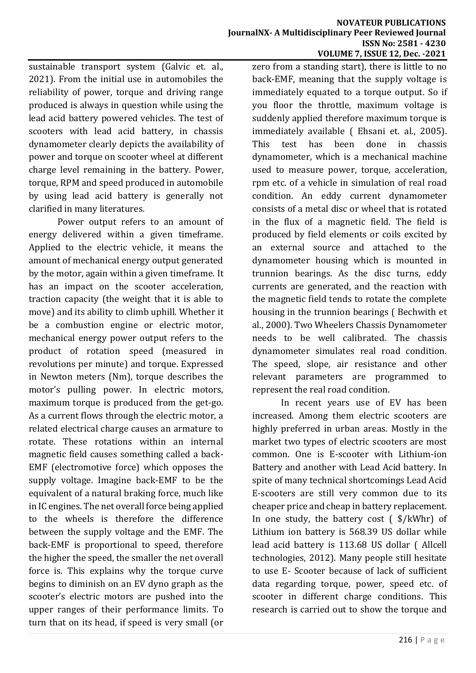sustainable transport system (Galvic et. al., 2021). From the initial use in automobiles the reliability of power, torque and driving range produced is always in question while using the lead acid battery powered vehicles. The test of scooters with lead acid battery, in chassis dynamometer clearly depicts the availability of power and torque on scooter wheel at different charge level remaining in the battery. Power, torque, RPM and speed produced in automobile by using lead acid battery is generally not clarified in many literatures.

 Power output refers to an amount of energy delivered within a given timeframe. Applied to the electric vehicle, it means the amount of mechanical energy output generated by the motor, again within a given timeframe. It has an impact on the scooter acceleration, traction capacity (the weight that it is able to move) and its ability to climb uphill. Whether it be a combustion engine or electric motor, mechanical energy power output refers to the product of rotation speed (measured in revolutions per minute) and torque. Expressed in Newton meters (Nm), torque describes the motor's pulling power. In electric motors, maximum torque is produced from the get-go. As a current flows through the electric motor, a related electrical charge causes an armature to rotate. These rotations within an internal magnetic field causes something called a back-EMF (electromotive force) which opposes the supply voltage. Imagine back-EMF to be the equivalent of a natural braking force, much like in IC engines. The net overall force being applied to the wheels is therefore the difference between the supply voltage and the EMF. The back-EMF is proportional to speed, therefore the higher the speed, the smaller the net overall force is. This explains why the torque curve begins to diminish on an EV dyno graph as the scooter's electric motors are pushed into the upper ranges of their performance limits. To turn that on its head, if speed is very small (or

zero from a standing start), there is little to no back-EMF, meaning that the supply voltage is immediately equated to a torque output. So if you floor the throttle, maximum voltage is suddenly applied therefore maximum torque is immediately available ( Ehsani et. al., 2005). This test has been done in chassis dynamometer, which is a mechanical machine used to measure power, torque, acceleration, rpm etc. of a vehicle in simulation of real road condition. An eddy current dynamometer consists of a metal disc or wheel that is rotated in the flux of a magnetic field. The field is produced by field elements or coils excited by an external source and attached to the dynamometer housing which is mounted in trunnion bearings. As the disc turns, eddy currents are generated, and the reaction with the magnetic field tends to rotate the complete housing in the trunnion bearings ( Bechwith et al., 2000). Two Wheelers Chassis Dynamometer needs to be well calibrated. The chassis dynamometer simulates real road condition. The speed, slope, air resistance and other relevant parameters are programmed to represent the real road condition.

 In recent years use of EV has been increased. Among them electric scooters are highly preferred in urban areas. Mostly in the market two types of electric scooters are most common. One is E-scooter with Lithium-ion Battery and another with Lead Acid battery. In spite of many technical shortcomings Lead Acid E-scooters are still very common due to its cheaper price and cheap in battery replacement. In one study, the battery cost ( \$/kWhr) of Lithium ion battery is 568.39 US dollar while lead acid battery is 113.68 US dollar ( Allcell technologies, 2012). Many people still hesitate to use E- Scooter because of lack of sufficient data regarding torque, power, speed etc. of scooter in different charge conditions. This research is carried out to show the torque and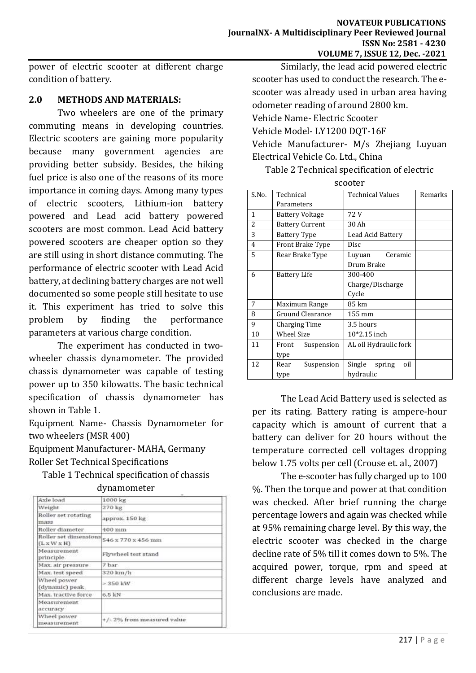power of electric scooter at different charge condition of battery.

### **2.0 METHODS AND MATERIALS:**

 Two wheelers are one of the primary commuting means in developing countries. Electric scooters are gaining more popularity because many government agencies are providing better subsidy. Besides, the hiking fuel price is also one of the reasons of its more importance in coming days. Among many types of electric scooters, Lithium-ion battery powered and Lead acid battery powered scooters are most common. Lead Acid battery powered scooters are cheaper option so they are still using in short distance commuting. The performance of electric scooter with Lead Acid battery, at declining battery charges are not well documented so some people still hesitate to use it. This experiment has tried to solve this problem by finding the performance parameters at various charge condition.

 The experiment has conducted in twowheeler chassis dynamometer. The provided chassis dynamometer was capable of testing power up to 350 kilowatts. The basic technical specification of chassis dynamometer has shown in Table 1.

Equipment Name- Chassis Dynamometer for two wheelers (MSR 400)

Equipment Manufacturer- MAHA, Germany Roller Set Technical Specifications

Table 1 Technical specification of chassis

dynamometer

| Axle load                                        | 1000 kg                     |  |  |  |
|--------------------------------------------------|-----------------------------|--|--|--|
| Weight                                           | 270 kg                      |  |  |  |
| Roller set rotating<br><b>TILBSS</b>             | approx. 150 kg              |  |  |  |
| Roller diameter                                  | 400 mm                      |  |  |  |
| Roller set dimensions<br>$(L \times W \times H)$ | 546 x 770 x 456 mm          |  |  |  |
| Measurement<br>principle                         | Flywheel test stand         |  |  |  |
| Max. air pressure                                | 7 bar                       |  |  |  |
| Max. test speed                                  | 320 km/h                    |  |  |  |
| Wheel power<br>(dynamic) peak                    | $>350$ kW                   |  |  |  |
| Max. tractive force                              | 6.5 kN                      |  |  |  |
| Measurement<br>accuracy                          |                             |  |  |  |
| Wheel power<br>measurement                       | $+/2\%$ from measured value |  |  |  |

 Similarly, the lead acid powered electric scooter has used to conduct the research. The escooter was already used in urban area having odometer reading of around 2800 km. Vehicle Name- Electric Scooter Vehicle Model- LY1200 DQT-16F Vehicle Manufacturer- M/s Zhejiang Luyuan Electrical Vehicle Co. Ltd., China

Table 2 Technical specification of electric

| S.No. | Technical               | Technical Values        | Remarks |  |  |  |  |  |  |  |
|-------|-------------------------|-------------------------|---------|--|--|--|--|--|--|--|
|       | Parameters              |                         |         |  |  |  |  |  |  |  |
| 1     | Battery Voltage         | 72 V                    |         |  |  |  |  |  |  |  |
| 2     | <b>Battery Current</b>  | 30 Ah                   |         |  |  |  |  |  |  |  |
| 3     | <b>Battery Type</b>     | Lead Acid Battery       |         |  |  |  |  |  |  |  |
| 4     | <b>Front Brake Type</b> | Disc                    |         |  |  |  |  |  |  |  |
| 5     | Rear Brake Type         | Ceramic<br>Luyuan       |         |  |  |  |  |  |  |  |
|       |                         | Drum Brake              |         |  |  |  |  |  |  |  |
| 6     | Battery Life            | 300-400                 |         |  |  |  |  |  |  |  |
|       |                         | Charge/Discharge        |         |  |  |  |  |  |  |  |
|       |                         | Cycle                   |         |  |  |  |  |  |  |  |
| 7     | Maximum Range           | 85 km                   |         |  |  |  |  |  |  |  |
| 8     | <b>Ground Clearance</b> | 155 mm                  |         |  |  |  |  |  |  |  |
| 9     | <b>Charging Time</b>    | 3.5 hours               |         |  |  |  |  |  |  |  |
| 10    | <b>Wheel Size</b>       | 10*2.15 inch            |         |  |  |  |  |  |  |  |
| 11    | Front<br>Suspension     | AL oil Hydraulic fork   |         |  |  |  |  |  |  |  |
|       | type                    |                         |         |  |  |  |  |  |  |  |
| 12    | Suspension<br>Rear      | Single<br>oil<br>spring |         |  |  |  |  |  |  |  |
|       | type                    | hydraulic               |         |  |  |  |  |  |  |  |

 The Lead Acid Battery used is selected as per its rating. Battery rating is ampere-hour capacity which is amount of current that a battery can deliver for 20 hours without the temperature corrected cell voltages dropping below 1.75 volts per cell (Crouse et. al., 2007)

 The e-scooter has fully charged up to 100 %. Then the torque and power at that condition was checked. After brief running the charge percentage lowers and again was checked while at 95% remaining charge level. By this way, the electric scooter was checked in the charge decline rate of 5% till it comes down to 5%. The acquired power, torque, rpm and speed at different charge levels have analyzed and conclusions are made.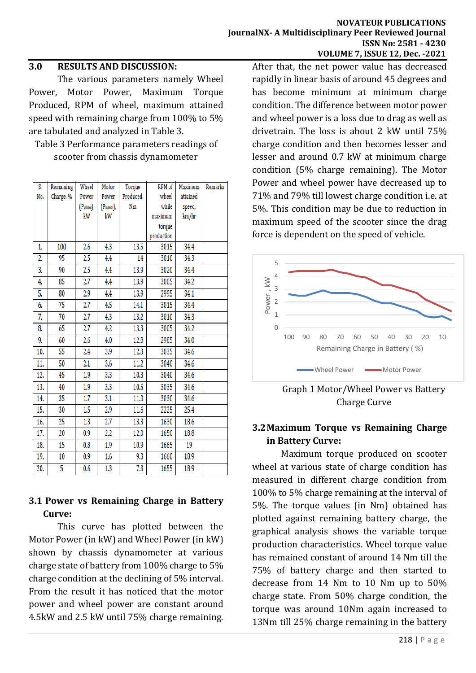#### **NOVATEUR PUBLICATIONS JournalNX- A Multidisciplinary Peer Reviewed Journal ISSN No: 2581 - 4230 VOLUME 7, ISSUE 12, Dec. -2021**

## **3.0 RESULTS AND DISCUSSION:**

 The various parameters namely Wheel Power, Motor Power, Maximum Torque Produced, RPM of wheel, maximum attained speed with remaining charge from 100% to 5% are tabulated and analyzed in Table 3.

Table 3 Performance parameters readings of scooter from chassis dynamometer

| s,             | Remaining | Wheel     | Motor           | Torque    | RPM of     | Maximum  | Remarks |
|----------------|-----------|-----------|-----------------|-----------|------------|----------|---------|
| No.            | Charge, % | Power     | Power           | Produced. | wheel      | attained |         |
|                |           | (Pwheel), | $(P_{motor})$ , | Nm        | while      | speed,   |         |
|                |           | kW        | kW              |           | maximum    | km/hr    |         |
|                |           |           |                 |           | torque     |          |         |
|                |           |           |                 |           | production |          |         |
| 1.             | 100       | 2.6       | 4.3             | 13.5      | 3015       | 34.4     |         |
| $\overline{2}$ | 95        | 2.5       | 4.4             | 14        | 3010       | 34.3     |         |
| 3.             | 90        | 2.5       | 4.4             | 13.9      | 3020       | 34.4     |         |
| 4.             | 85        | 2.7       | 4.4             | 13.9      | 3005       | 34.2     |         |
| 5.             | 80        | 2.9       | 4.4             | 13.9      | 2995       | 34.1     |         |
| 6.             | 75        | 2.7       | 4.5             | 14.1      | 3015       | 34.4     |         |
| 7.             | 70        | 2.7       | 4.3             | 13.2      | 3010       | 34.3     |         |
| 8.             | 65        | 2.7       | 4.2             | 13.3      | 3005       | 34.2     |         |
| 9.             | 60        | 2.6       | 4.0             | 12.8      | 2985       | 34.0     |         |
| 10.            | 55        | 2.4       | 3.9             | 12.3      | 3035       | 34.6     |         |
| 11.            | 50        | 2.1       | 3.6             | 11.2      | 3040       | 34.6     |         |
| 12.            | 45        | 1.9       | 3.3             | 10.3      | 3040       | 34.6     |         |
| 13.            | 40        | 1.9       | 3.3             | 10.5      | 3035       | 34.6     |         |
| 14.            | 35        | 1.7       | 3.1             | 11.0      | 3030       | 34.6     |         |
| 15.            | 30        | 1.5       | 2.9             | 11.6      | 2225       | 25.4     |         |
| 16.            | 25        | 1.3       | 2.7             | 13.3      | 1630       | 18.6     |         |
| 17.            | 20        | 0.9       | 2.2             | 12.0      | 1650       | 18.8     |         |
| 18.            | 15        | 0.8       | 1.9             | 10.9      | 1665       | 19       |         |
| 19.            | 10        | 0.9       | 1.6             | 9.3       | 1660       | 18.9     |         |
| 20.            | 5         | 0.6       | $1.3\,$         | 7.3       | 1655       | 18.9     |         |

## **3.1 Power vs Remaining Charge in Battery Curve:**

 This curve has plotted between the Motor Power (in kW) and Wheel Power (in kW) shown by chassis dynamometer at various charge state of battery from 100% charge to 5% charge condition at the declining of 5% interval. From the result it has noticed that the motor power and wheel power are constant around 4.5kW and 2.5 kW until 75% charge remaining. After that, the net power value has decreased rapidly in linear basis of around 45 degrees and has become minimum at minimum charge condition. The difference between motor power and wheel power is a loss due to drag as well as drivetrain. The loss is about 2 kW until 75% charge condition and then becomes lesser and lesser and around 0.7 kW at minimum charge condition (5% charge remaining). The Motor Power and wheel power have decreased up to 71% and 79% till lowest charge condition i.e. at 5%. This condition may be due to reduction in maximum speed of the scooter since the drag force is dependent on the speed of vehicle.



Graph 1 Motor/Wheel Power vs Battery Charge Curve

## **3.2Maximum Torque vs Remaining Charge in Battery Curve:**

 Maximum torque produced on scooter wheel at various state of charge condition has measured in different charge condition from 100% to 5% charge remaining at the interval of 5%. The torque values (in Nm) obtained has plotted against remaining battery charge, the graphical analysis shows the variable torque production characteristics. Wheel torque value has remained constant of around 14 Nm till the 75% of battery charge and then started to decrease from 14 Nm to 10 Nm up to 50% charge state. From 50% charge condition, the torque was around 10Nm again increased to 13Nm till 25% charge remaining in the battery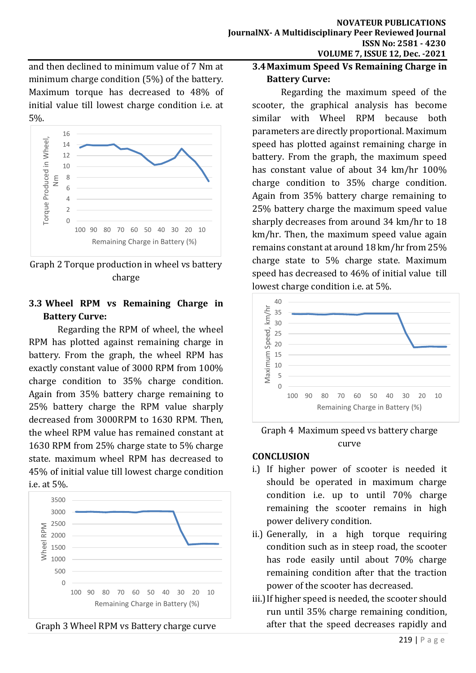and then declined to minimum value of 7 Nm at minimum charge condition (5%) of the battery. Maximum torque has decreased to 48% of initial value till lowest charge condition i.e. at 5%.



Graph 2 Torque production in wheel vs battery charge

## **3.3 Wheel RPM vs Remaining Charge in Battery Curve:**

 Regarding the RPM of wheel, the wheel RPM has plotted against remaining charge in battery. From the graph, the wheel RPM has exactly constant value of 3000 RPM from 100% charge condition to 35% charge condition. Again from 35% battery charge remaining to 25% battery charge the RPM value sharply decreased from 3000RPM to 1630 RPM. Then, the wheel RPM value has remained constant at 1630 RPM from 25% charge state to 5% charge state. maximum wheel RPM has decreased to 45% of initial value till lowest charge condition i.e. at 5%.





## **3.4Maximum Speed Vs Remaining Charge in Battery Curve:**

 Regarding the maximum speed of the scooter, the graphical analysis has become similar with Wheel RPM because both parameters are directly proportional. Maximum speed has plotted against remaining charge in battery. From the graph, the maximum speed has constant value of about 34 km/hr 100% charge condition to 35% charge condition. Again from 35% battery charge remaining to 25% battery charge the maximum speed value sharply decreases from around 34 km/hr to 18 km/hr. Then, the maximum speed value again remains constant at around 18 km/hr from 25% charge state to 5% charge state. Maximum speed has decreased to 46% of initial value till lowest charge condition i.e. at 5%.



### Graph 4 Maximum speed vs battery charge curve

### **CONCLUSION**

- i.) If higher power of scooter is needed it should be operated in maximum charge condition i.e. up to until 70% charge remaining the scooter remains in high power delivery condition.
- ii.) Generally, in a high torque requiring condition such as in steep road, the scooter has rode easily until about 70% charge remaining condition after that the traction power of the scooter has decreased.
- iii.)If higher speed is needed, the scooter should run until 35% charge remaining condition, after that the speed decreases rapidly and